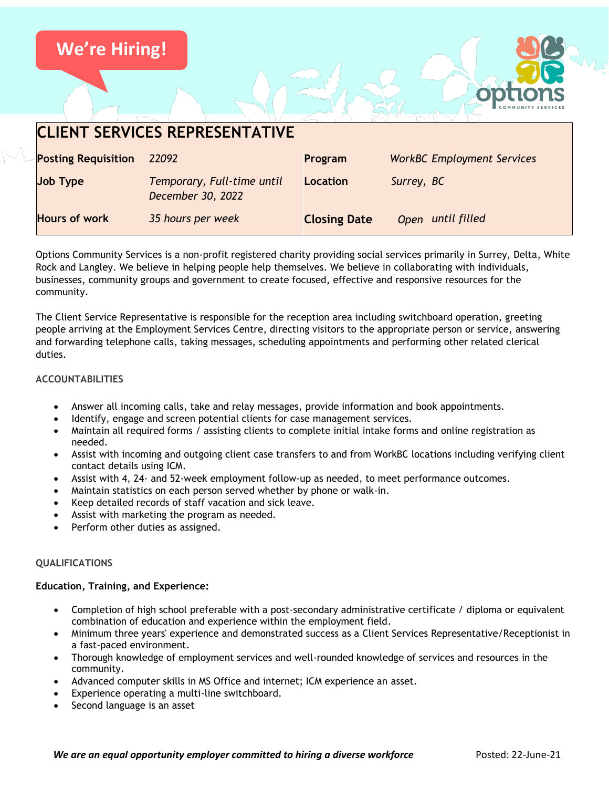

Options Community Services is a non-profit registered charity providing social services primarily in Surrey, Delta, White Rock and Langley. We believe in helping people help themselves. We believe in collaborating with individuals, businesses, community groups and government to create focused, effective and responsive resources for the community.

The Client Service Representative is responsible for the reception area including switchboard operation, greeting people arriving at the Employment Services Centre, directing visitors to the appropriate person or service, answering and forwarding telephone calls, taking messages, scheduling appointments and performing other related clerical duties.

# **ACCOUNTABILITIES**

- Answer all incoming calls, take and relay messages, provide information and book appointments.
- Identify, engage and screen potential clients for case management services.
- Maintain all required forms / assisting clients to complete initial intake forms and online registration as needed.
- Assist with incoming and outgoing client case transfers to and from WorkBC locations including verifying client contact details using ICM.
- Assist with 4, 24- and 52-week employment follow-up as needed, to meet performance outcomes.
- Maintain statistics on each person served whether by phone or walk-in.
- Keep detailed records of staff vacation and sick leave.
- Assist with marketing the program as needed.
- Perform other duties as assigned.

# **QUALIFICATIONS**

#### **Education, Training, and Experience:**

- Completion of high school preferable with a post-secondary administrative certificate / diploma or equivalent combination of education and experience within the employment field.
- Minimum three years' experience and demonstrated success as a Client Services Representative/Receptionist in a fast-paced environment.
- Thorough knowledge of employment services and well-rounded knowledge of services and resources in the community.
- Advanced computer skills in MS Office and internet; ICM experience an asset.
- Experience operating a multi-line switchboard.
- Second language is an asset